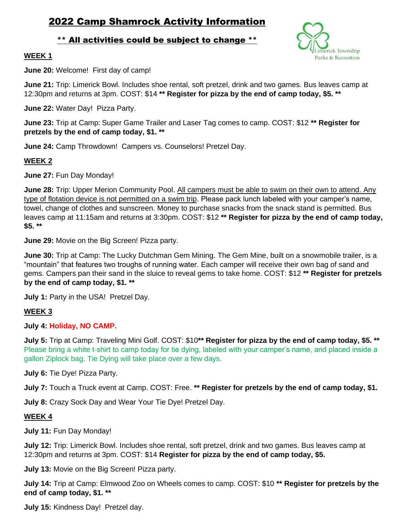# 2022 Camp Shamrock Activity Information

# \*\* All activities could be subject to change \*\*



#### **WEEK 1**

**June 20:** Welcome! First day of camp!

**June 21:** Trip: Limerick Bowl. Includes shoe rental, soft pretzel, drink and two games. Bus leaves camp at 12:30pm and returns at 3pm. COST: \$14 **\*\* Register for pizza by the end of camp today, \$5. \*\***

**June 22:** Water Day! Pizza Party.

**June 23:** Trip at Camp: Super Game Trailer and Laser Tag comes to camp. COST: \$12 **\*\* Register for pretzels by the end of camp today, \$1. \*\***

**June 24:** Camp Throwdown! Campers vs. Counselors! Pretzel Day.

#### **WEEK 2**

**June 27:** Fun Day Monday!

**June 28:** Trip: Upper Merion Community Pool. All campers must be able to swim on their own to attend. Any type of flotation device is not permitted on a swim trip. Please pack lunch labeled with your camper's name, towel, change of clothes and sunscreen. Money to purchase snacks from the snack stand is permitted. Bus leaves camp at 11:15am and returns at 3:30pm. COST: \$12 **\*\* Register for pizza by the end of camp today, \$5. \*\***

**June 29:** Movie on the Big Screen! Pizza party.

**June 30:** Trip at Camp: The Lucky Dutchman Gem Mining. The Gem Mine, built on a snowmobile trailer, is a "mountain" that features two troughs of running water. Each camper will receive their own bag of sand and gems. Campers pan their sand in the sluice to reveal gems to take home. COST: \$12 **\*\* Register for pretzels by the end of camp today, \$1. \*\***

**July 1: Party in the USA! Pretzel Day.** 

# **WEEK 3**

**July 4: Holiday, NO CAMP.**

**July 5:** Trip at Camp: Traveling Mini Golf. COST: \$10**\*\* Register for pizza by the end of camp today, \$5. \*\*** Please bring a white t-shirt to camp today for tie dying, labeled with your camper's name, and placed inside a gallon Ziplock bag. Tie Dying will take place over a few days.

**July 6:** Tie Dye! Pizza Party.

**July 7:** Touch a Truck event at Camp. COST: Free. **\*\* Register for pretzels by the end of camp today, \$1.**

**July 8:** Crazy Sock Day and Wear Your Tie Dye! Pretzel Day.

#### **WEEK 4**

**July 11:** Fun Day Monday!

**July 12:** Trip: Limerick Bowl. Includes shoe rental, soft pretzel, drink and two games. Bus leaves camp at 12:30pm and returns at 3pm. COST: \$14 **Register for pizza by the end of camp today, \$5.**

**July 13:** Movie on the Big Screen! Pizza party.

**July 14:** Trip at Camp: Elmwood Zoo on Wheels comes to camp. COST: \$10 **\*\* Register for pretzels by the end of camp today, \$1. \*\***

**July 15:** Kindness Day! Pretzel day.